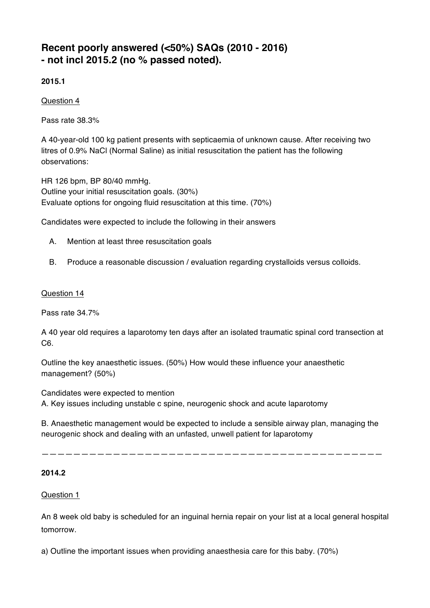# **Recent poorly answered (<50%) SAQs (2010 - 2016) - not incl 2015.2 (no % passed noted).**

**2015.1**

Question 4

Pass rate 38.3%

A 40-year-old 100 kg patient presents with septicaemia of unknown cause. After receiving two litres of 0.9% NaCl (Normal Saline) as initial resuscitation the patient has the following observations:

HR 126 bpm, BP 80/40 mmHg. Outline your initial resuscitation goals. (30%) Evaluate options for ongoing fluid resuscitation at this time. (70%)

Candidates were expected to include the following in their answers

- A. Mention at least three resuscitation goals
- B. Produce a reasonable discussion / evaluation regarding crystalloids versus colloids.

# Question 14

Pass rate 34.7%

A 40 year old requires a laparotomy ten days after an isolated traumatic spinal cord transection at C6.

Outline the key anaesthetic issues. (50%) How would these influence your anaesthetic management? (50%)

Candidates were expected to mention A. Key issues including unstable c spine, neurogenic shock and acute laparotomy

B. Anaesthetic management would be expected to include a sensible airway plan, managing the neurogenic shock and dealing with an unfasted, unwell patient for laparotomy

———————————————————————————————————————————

# **2014.2**

# Question 1

An 8 week old baby is scheduled for an inguinal hernia repair on your list at a local general hospital tomorrow.

a) Outline the important issues when providing anaesthesia care for this baby. (70%)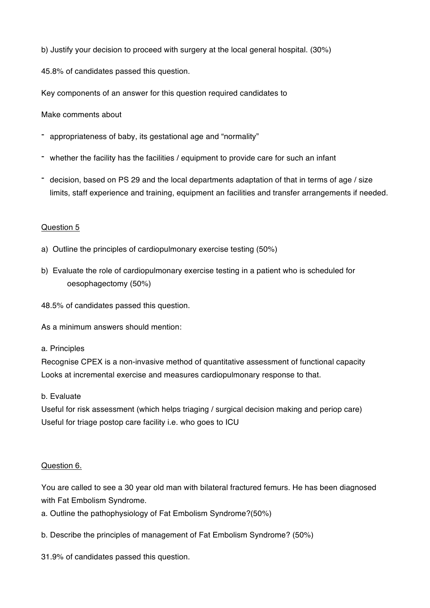b) Justify your decision to proceed with surgery at the local general hospital. (30%)

45.8% of candidates passed this question.

Key components of an answer for this question required candidates to

Make comments about

- appropriateness of baby, its gestational age and "normality"
- whether the facility has the facilities / equipment to provide care for such an infant
- decision, based on PS 29 and the local departments adaptation of that in terms of age / size limits, staff experience and training, equipment an facilities and transfer arrangements if needed.

# Question 5

- a) Outline the principles of cardiopulmonary exercise testing (50%)
- b) Evaluate the role of cardiopulmonary exercise testing in a patient who is scheduled for oesophagectomy (50%)
- 48.5% of candidates passed this question.

As a minimum answers should mention:

# a. Principles

Recognise CPEX is a non-invasive method of quantitative assessment of functional capacity Looks at incremental exercise and measures cardiopulmonary response to that.

# b. Evaluate

Useful for risk assessment (which helps triaging / surgical decision making and periop care) Useful for triage postop care facility i.e. who goes to ICU

# Question 6.

You are called to see a 30 year old man with bilateral fractured femurs. He has been diagnosed with Fat Embolism Syndrome.

- a. Outline the pathophysiology of Fat Embolism Syndrome?(50%)
- b. Describe the principles of management of Fat Embolism Syndrome? (50%)

31.9% of candidates passed this question.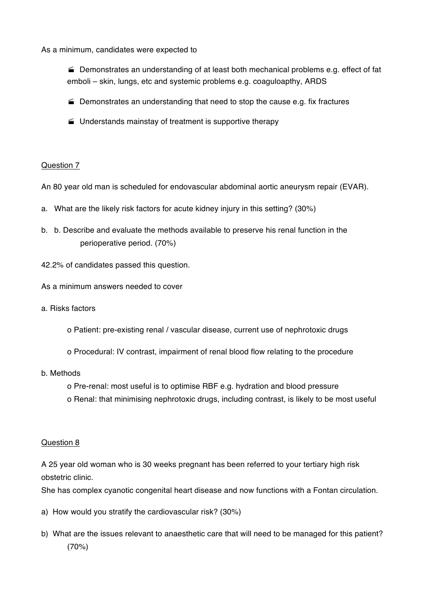As a minimum, candidates were expected to

· Demonstrates an understanding of at least both mechanical problems e.g. effect of fat emboli – skin, lungs, etc and systemic problems e.g. coaguloapthy, ARDS

- $\blacktriangleright$  Demonstrates an understanding that need to stop the cause e.g. fix fractures
- $\blacktriangleright$  Understands mainstay of treatment is supportive therapy

# Question 7

An 80 year old man is scheduled for endovascular abdominal aortic aneurysm repair (EVAR).

- a. What are the likely risk factors for acute kidney injury in this setting? (30%)
- b. b. Describe and evaluate the methods available to preserve his renal function in the perioperative period. (70%)
- 42.2% of candidates passed this question.

As a minimum answers needed to cover

- a. Risks factors
	- o Patient: pre-existing renal / vascular disease, current use of nephrotoxic drugs
	- o Procedural: IV contrast, impairment of renal blood flow relating to the procedure
- b. Methods
	- o Pre-renal: most useful is to optimise RBF e.g. hydration and blood pressure
	- o Renal: that minimising nephrotoxic drugs, including contrast, is likely to be most useful

#### Question 8

A 25 year old woman who is 30 weeks pregnant has been referred to your tertiary high risk obstetric clinic.

She has complex cyanotic congenital heart disease and now functions with a Fontan circulation.

- a) How would you stratify the cardiovascular risk? (30%)
- b) What are the issues relevant to anaesthetic care that will need to be managed for this patient? (70%)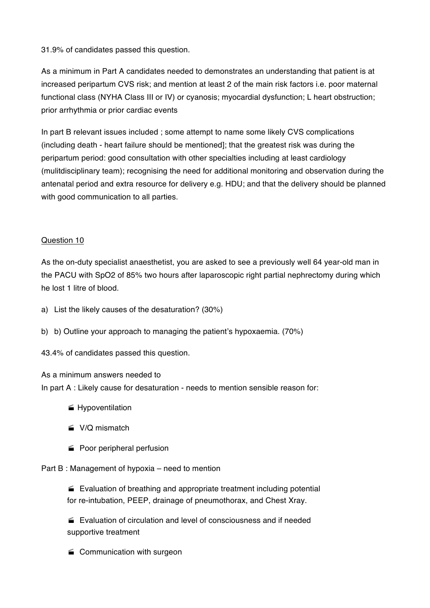31.9% of candidates passed this question.

As a minimum in Part A candidates needed to demonstrates an understanding that patient is at increased peripartum CVS risk; and mention at least 2 of the main risk factors i.e. poor maternal functional class (NYHA Class III or IV) or cyanosis; myocardial dysfunction; L heart obstruction; prior arrhythmia or prior cardiac events

In part B relevant issues included ; some attempt to name some likely CVS complications (including death - heart failure should be mentioned]; that the greatest risk was during the peripartum period: good consultation with other specialties including at least cardiology (mulitdisciplinary team); recognising the need for additional monitoring and observation during the antenatal period and extra resource for delivery e.g. HDU; and that the delivery should be planned with good communication to all parties.

# Question 10

As the on-duty specialist anaesthetist, you are asked to see a previously well 64 year-old man in the PACU with SpO2 of 85% two hours after laparoscopic right partial nephrectomy during which he lost 1 litre of blood.

- a) List the likely causes of the desaturation? (30%)
- b) b) Outline your approach to managing the patient's hypoxaemia. (70%)

43.4% of candidates passed this question.

# As a minimum answers needed to

In part A : Likely cause for desaturation - needs to mention sensible reason for:

- **f** Hypoventilation
- $\leq$  V/O mismatch
- Poor peripheral perfusion

# Part B : Management of hypoxia – need to mention

 $\blacktriangleright$  Evaluation of breathing and appropriate treatment including potential for re-intubation, PEEP, drainage of pneumothorax, and Chest Xray.

· Evaluation of circulation and level of consciousness and if needed supportive treatment

 $\blacktriangleright$  Communication with surgeon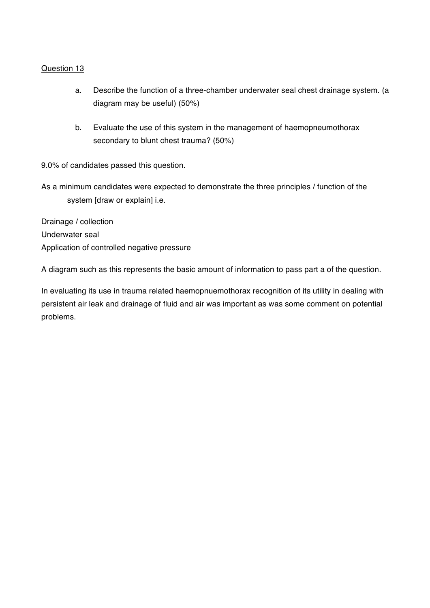# Question 13

- a. Describe the function of a three-chamber underwater seal chest drainage system. (a diagram may be useful) (50%)
- b. Evaluate the use of this system in the management of haemopneumothorax secondary to blunt chest trauma? (50%)

9.0% of candidates passed this question.

As a minimum candidates were expected to demonstrate the three principles / function of the system [draw or explain] i.e.

Drainage / collection Underwater seal Application of controlled negative pressure

A diagram such as this represents the basic amount of information to pass part a of the question.

In evaluating its use in trauma related haemopnuemothorax recognition of its utility in dealing with persistent air leak and drainage of fluid and air was important as was some comment on potential problems.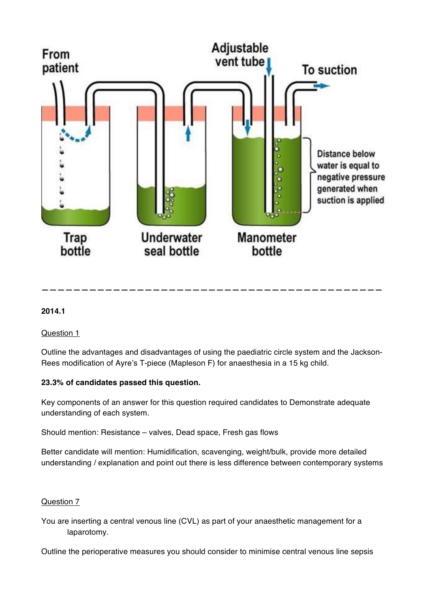

# **2014.1**

Question 1

Outline the advantages and disadvantages of using the paediatric circle system and the Jackson-Rees modification of Ayre's T-piece (Mapleson F) for anaesthesia in a 15 kg child.

**———————————————————————————————————————————**

# **23.3% of candidates passed this question.**

Key components of an answer for this question required candidates to Demonstrate adequate understanding of each system.

Should mention: Resistance – valves, Dead space, Fresh gas flows

Better candidate will mention: Humidification, scavenging, weight/bulk, provide more detailed understanding / explanation and point out there is less difference between contemporary systems

# Question 7

You are inserting a central venous line (CVL) as part of your anaesthetic management for a laparotomy.

Outline the perioperative measures you should consider to minimise central venous line sepsis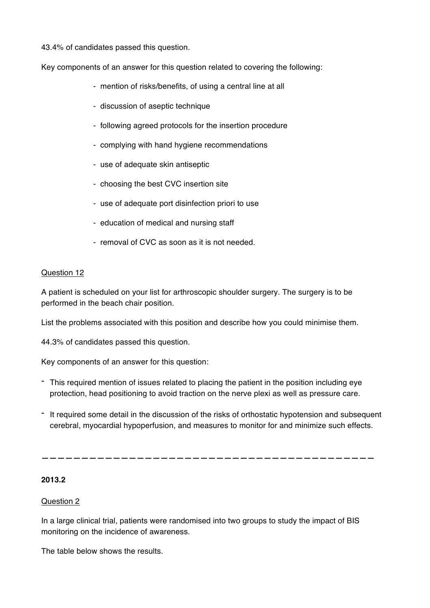43.4% of candidates passed this question.

Key components of an answer for this question related to covering the following:

- mention of risks/benefits, of using a central line at all
- discussion of aseptic technique
- following agreed protocols for the insertion procedure
- complying with hand hygiene recommendations
- use of adequate skin antiseptic
- choosing the best CVC insertion site
- use of adequate port disinfection priori to use
- education of medical and nursing staff
- removal of CVC as soon as it is not needed.

# Question 12

A patient is scheduled on your list for arthroscopic shoulder surgery. The surgery is to be performed in the beach chair position.

List the problems associated with this position and describe how you could minimise them.

44.3% of candidates passed this question.

Key components of an answer for this question:

- This required mention of issues related to placing the patient in the position including eye protection, head positioning to avoid traction on the nerve plexi as well as pressure care.
- It required some detail in the discussion of the risks of orthostatic hypotension and subsequent cerebral, myocardial hypoperfusion, and measures to monitor for and minimize such effects.

**——————————————————————————————————————————**

# **2013.2**

# Question 2

In a large clinical trial, patients were randomised into two groups to study the impact of BIS monitoring on the incidence of awareness.

The table below shows the results.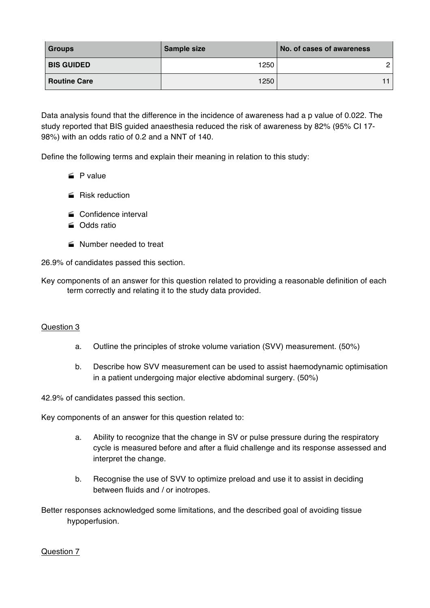| <b>Groups</b>       | Sample size | No. of cases of awareness |
|---------------------|-------------|---------------------------|
| <b>BIS GUIDED</b>   | 1250        | 2                         |
| <b>Routine Care</b> | 1250        |                           |

Data analysis found that the difference in the incidence of awareness had a p value of 0.022. The study reported that BIS guided anaesthesia reduced the risk of awareness by 82% (95% CI 17- 98%) with an odds ratio of 0.2 and a NNT of 140.

Define the following terms and explain their meaning in relation to this study:

- $\leq$  P value
- $\equiv$  Risk reduction
- Confidence interval
- · Odds ratio
- Number needed to treat

26.9% of candidates passed this section.

Key components of an answer for this question related to providing a reasonable definition of each term correctly and relating it to the study data provided.

# Question 3

- a. Outline the principles of stroke volume variation (SVV) measurement. (50%)
- b. Describe how SVV measurement can be used to assist haemodynamic optimisation in a patient undergoing major elective abdominal surgery. (50%)

42.9% of candidates passed this section.

Key components of an answer for this question related to:

- a. Ability to recognize that the change in SV or pulse pressure during the respiratory cycle is measured before and after a fluid challenge and its response assessed and interpret the change.
- b. Recognise the use of SVV to optimize preload and use it to assist in deciding between fluids and / or inotropes.

Better responses acknowledged some limitations, and the described goal of avoiding tissue hypoperfusion.

#### Question 7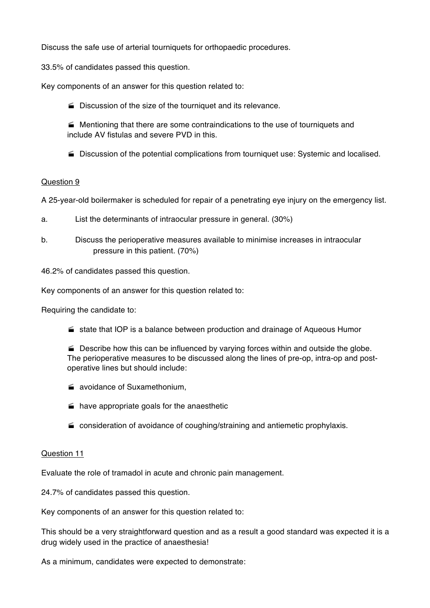Discuss the safe use of arterial tourniquets for orthopaedic procedures.

33.5% of candidates passed this question.

Key components of an answer for this question related to:

 $\blacktriangleright$  Discussion of the size of the tourniquet and its relevance.

 $\blacktriangleright$  Mentioning that there are some contraindications to the use of tourniquets and include AV fistulas and severe PVD in this.

· Discussion of the potential complications from tourniquet use: Systemic and localised.

# Question 9

A 25-year-old boilermaker is scheduled for repair of a penetrating eye injury on the emergency list.

- a. List the determinants of intraocular pressure in general. (30%)
- b. Discuss the perioperative measures available to minimise increases in intraocular pressure in this patient. (70%)

46.2% of candidates passed this question.

Key components of an answer for this question related to:

Requiring the candidate to:

 $\blacktriangleright$  state that IOP is a balance between production and drainage of Aqueous Humor

 $\blacktriangleright$  Describe how this can be influenced by varying forces within and outside the globe. The perioperative measures to be discussed along the lines of pre-op, intra-op and postoperative lines but should include:

- $\equiv$  avoidance of Suxamethonium,
- $\equiv$  have appropriate goals for the anaesthetic
- $\blacktriangleright$  consideration of avoidance of coughing/straining and antiemetic prophylaxis.

#### Question 11

Evaluate the role of tramadol in acute and chronic pain management.

24.7% of candidates passed this question.

Key components of an answer for this question related to:

This should be a very straightforward question and as a result a good standard was expected it is a drug widely used in the practice of anaesthesia!

As a minimum, candidates were expected to demonstrate: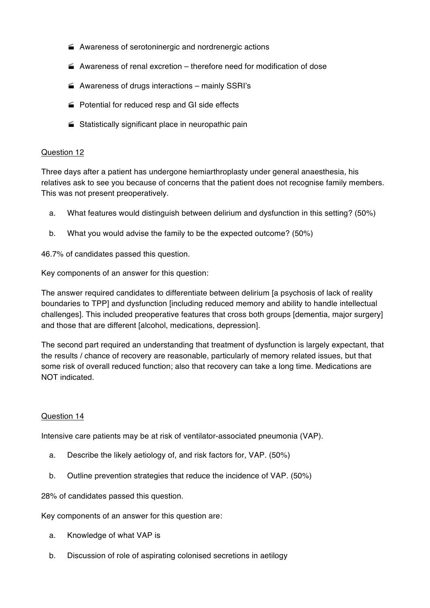- $\blacktriangle$  Awareness of serotoninergic and nordrenergic actions
- $\blacktriangle$  Awareness of renal excretion therefore need for modification of dose
- $\blacktriangle$  Awareness of drugs interactions mainly SSRI's
- $\blacktriangleright$  Potential for reduced resp and GI side effects
- $\triangleq$  Statistically significant place in neuropathic pain

#### Question 12

Three days after a patient has undergone hemiarthroplasty under general anaesthesia, his relatives ask to see you because of concerns that the patient does not recognise family members. This was not present preoperatively.

- a. What features would distinguish between delirium and dysfunction in this setting? (50%)
- b. What you would advise the family to be the expected outcome? (50%)

46.7% of candidates passed this question.

Key components of an answer for this question:

The answer required candidates to differentiate between delirium [a psychosis of lack of reality boundaries to TPP] and dysfunction [including reduced memory and ability to handle intellectual challenges]. This included preoperative features that cross both groups [dementia, major surgery] and those that are different [alcohol, medications, depression].

The second part required an understanding that treatment of dysfunction is largely expectant, that the results / chance of recovery are reasonable, particularly of memory related issues, but that some risk of overall reduced function; also that recovery can take a long time. Medications are NOT indicated.

# Question 14

Intensive care patients may be at risk of ventilator-associated pneumonia (VAP).

- a. Describe the likely aetiology of, and risk factors for, VAP. (50%)
- b. Outline prevention strategies that reduce the incidence of VAP. (50%)

28% of candidates passed this question.

Key components of an answer for this question are:

- a. Knowledge of what VAP is
- b. Discussion of role of aspirating colonised secretions in aetilogy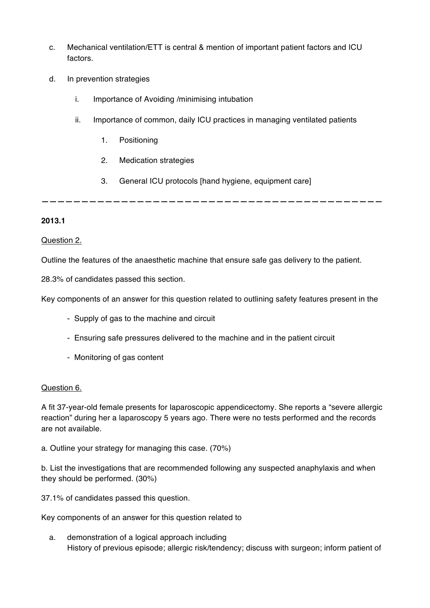- c. Mechanical ventilation/ETT is central & mention of important patient factors and ICU factors.
- d. In prevention strategies
	- i. Importance of Avoiding /minimising intubation
	- ii. Importance of common, daily ICU practices in managing ventilated patients
		- 1. Positioning
		- 2. Medication strategies
		- 3. General ICU protocols [hand hygiene, equipment care]

**———————————————————————————————————————————**

# **2013.1**

# Question 2.

Outline the features of the anaesthetic machine that ensure safe gas delivery to the patient.

28.3% of candidates passed this section.

Key components of an answer for this question related to outlining safety features present in the

- Supply of gas to the machine and circuit
- Ensuring safe pressures delivered to the machine and in the patient circuit
- Monitoring of gas content

# Question 6.

A fit 37-year-old female presents for laparoscopic appendicectomy. She reports a "severe allergic reaction" during her a laparoscopy 5 years ago. There were no tests performed and the records are not available.

a. Outline your strategy for managing this case. (70%)

b. List the investigations that are recommended following any suspected anaphylaxis and when they should be performed. (30%)

37.1% of candidates passed this question.

Key components of an answer for this question related to

a. demonstration of a logical approach including History of previous episode; allergic risk/tendency; discuss with surgeon; inform patient of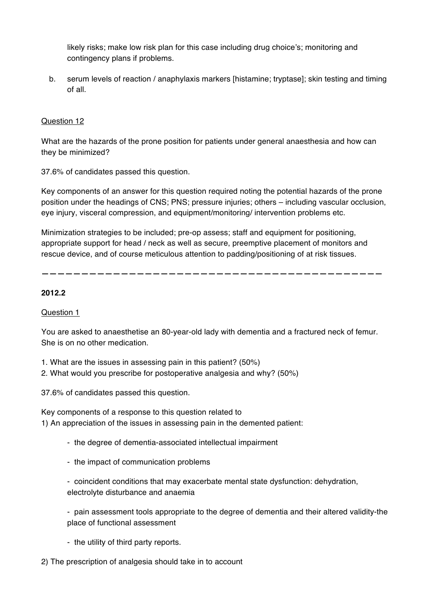likely risks; make low risk plan for this case including drug choice's; monitoring and contingency plans if problems.

b. serum levels of reaction / anaphylaxis markers [histamine; tryptase]; skin testing and timing of all.

# Question 12

What are the hazards of the prone position for patients under general anaesthesia and how can they be minimized?

37.6% of candidates passed this question.

Key components of an answer for this question required noting the potential hazards of the prone position under the headings of CNS; PNS; pressure injuries; others – including vascular occlusion, eye injury, visceral compression, and equipment/monitoring/ intervention problems etc.

Minimization strategies to be included; pre-op assess; staff and equipment for positioning, appropriate support for head / neck as well as secure, preemptive placement of monitors and rescue device, and of course meticulous attention to padding/positioning of at risk tissues.

**———————————————————————————————————————————**

# **2012.2**

# Question 1

You are asked to anaesthetise an 80-year-old lady with dementia and a fractured neck of femur. She is on no other medication.

1. What are the issues in assessing pain in this patient? (50%)

2. What would you prescribe for postoperative analgesia and why? (50%)

37.6% of candidates passed this question.

Key components of a response to this question related to 1) An appreciation of the issues in assessing pain in the demented patient:

- the degree of dementia-associated intellectual impairment
- the impact of communication problems

- coincident conditions that may exacerbate mental state dysfunction: dehydration, electrolyte disturbance and anaemia

- pain assessment tools appropriate to the degree of dementia and their altered validity-the place of functional assessment

- the utility of third party reports.
- 2) The prescription of analgesia should take in to account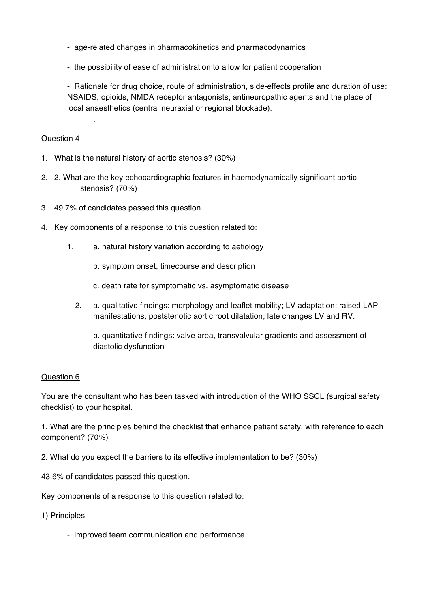- age-related changes in pharmacokinetics and pharmacodynamics
- the possibility of ease of administration to allow for patient cooperation

- Rationale for drug choice, route of administration, side-effects profile and duration of use: NSAIDS, opioids, NMDA receptor antagonists, antineuropathic agents and the place of local anaesthetics (central neuraxial or regional blockade).

# Question 4

.

- 1. What is the natural history of aortic stenosis? (30%)
- 2. 2. What are the key echocardiographic features in haemodynamically significant aortic stenosis? (70%)
- 3. 49.7% of candidates passed this question.
- 4. Key components of a response to this question related to:
	- 1. a. natural history variation according to aetiology
		- b. symptom onset, timecourse and description
		- c. death rate for symptomatic vs. asymptomatic disease
		- 2. a. qualitative findings: morphology and leaflet mobility; LV adaptation; raised LAP manifestations, poststenotic aortic root dilatation; late changes LV and RV.

b. quantitative findings: valve area, transvalvular gradients and assessment of diastolic dysfunction

#### Question 6

You are the consultant who has been tasked with introduction of the WHO SSCL (surgical safety checklist) to your hospital.

1. What are the principles behind the checklist that enhance patient safety, with reference to each component? (70%)

- 2. What do you expect the barriers to its effective implementation to be? (30%)
- 43.6% of candidates passed this question.

Key components of a response to this question related to:

#### 1) Principles

- improved team communication and performance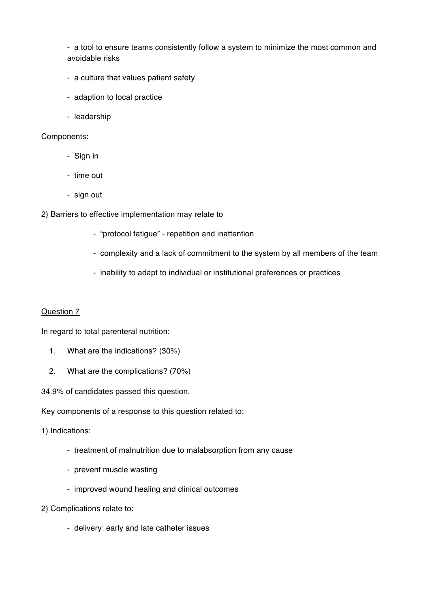- a tool to ensure teams consistently follow a system to minimize the most common and avoidable risks

- a culture that values patient safety
- adaption to local practice
- leadership

#### Components:

- Sign in
- time out
- sign out
- 2) Barriers to effective implementation may relate to
	- "protocol fatigue" repetition and inattention
	- complexity and a lack of commitment to the system by all members of the team
	- inability to adapt to individual or institutional preferences or practices

#### Question 7

In regard to total parenteral nutrition:

- 1. What are the indications? (30%)
- 2. What are the complications? (70%)

34.9% of candidates passed this question.

Key components of a response to this question related to:

1) Indications:

- treatment of malnutrition due to malabsorption from any cause
- prevent muscle wasting
- improved wound healing and clinical outcomes
- 2) Complications relate to:
	- delivery: early and late catheter issues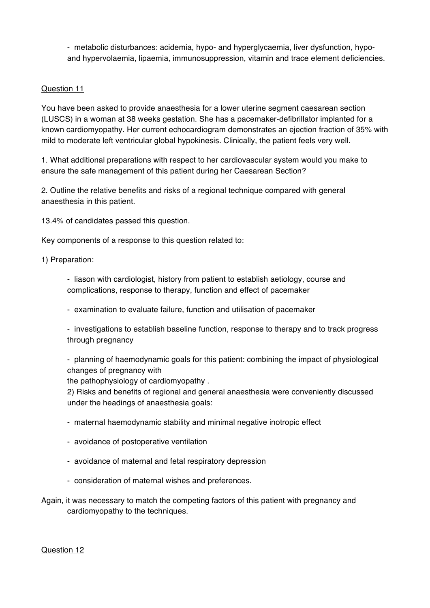- metabolic disturbances: acidemia, hypo- and hyperglycaemia, liver dysfunction, hypoand hypervolaemia, lipaemia, immunosuppression, vitamin and trace element deficiencies.

### Question 11

You have been asked to provide anaesthesia for a lower uterine segment caesarean section (LUSCS) in a woman at 38 weeks gestation. She has a pacemaker-defibrillator implanted for a known cardiomyopathy. Her current echocardiogram demonstrates an ejection fraction of 35% with mild to moderate left ventricular global hypokinesis. Clinically, the patient feels very well.

1. What additional preparations with respect to her cardiovascular system would you make to ensure the safe management of this patient during her Caesarean Section?

2. Outline the relative benefits and risks of a regional technique compared with general anaesthesia in this patient.

13.4% of candidates passed this question.

Key components of a response to this question related to:

1) Preparation:

- liason with cardiologist, history from patient to establish aetiology, course and complications, response to therapy, function and effect of pacemaker

- examination to evaluate failure, function and utilisation of pacemaker

- investigations to establish baseline function, response to therapy and to track progress through pregnancy

- planning of haemodynamic goals for this patient: combining the impact of physiological changes of pregnancy with

the pathophysiology of cardiomyopathy .

2) Risks and benefits of regional and general anaesthesia were conveniently discussed under the headings of anaesthesia goals:

- maternal haemodynamic stability and minimal negative inotropic effect
- avoidance of postoperative ventilation
- avoidance of maternal and fetal respiratory depression
- consideration of maternal wishes and preferences.
- Again, it was necessary to match the competing factors of this patient with pregnancy and cardiomyopathy to the techniques.

Question 12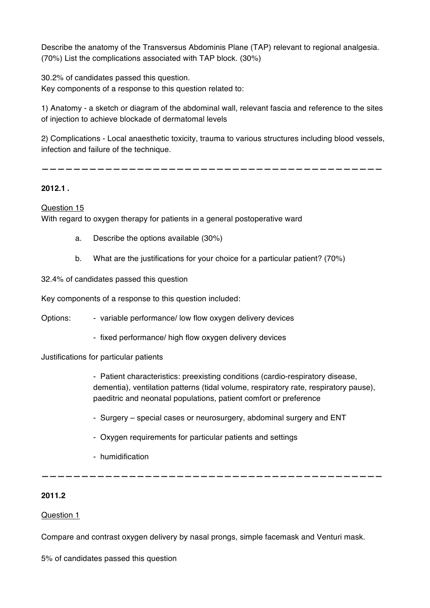Describe the anatomy of the Transversus Abdominis Plane (TAP) relevant to regional analgesia. (70%) List the complications associated with TAP block. (30%)

30.2% of candidates passed this question. Key components of a response to this question related to:

1) Anatomy - a sketch or diagram of the abdominal wall, relevant fascia and reference to the sites of injection to achieve blockade of dermatomal levels

2) Complications - Local anaesthetic toxicity, trauma to various structures including blood vessels, infection and failure of the technique.

**———————————————————————————————————————————**

# **2012.1 .**

Question 15 With regard to oxygen therapy for patients in a general postoperative ward

- a. Describe the options available (30%)
- b. What are the justifications for your choice for a particular patient? (70%)

32.4% of candidates passed this question

Key components of a response to this question included:

Options: - variable performance/ low flow oxygen delivery devices

- fixed performance/ high flow oxygen delivery devices

Justifications for particular patients

- Patient characteristics: preexisting conditions (cardio-respiratory disease, dementia), ventilation patterns (tidal volume, respiratory rate, respiratory pause), paeditric and neonatal populations, patient comfort or preference

- Surgery special cases or neurosurgery, abdominal surgery and ENT
- Oxygen requirements for particular patients and settings
- humidification

# **2011.2**

#### Question 1

Compare and contrast oxygen delivery by nasal prongs, simple facemask and Venturi mask.

**———————————————————————————————————————————**

5% of candidates passed this question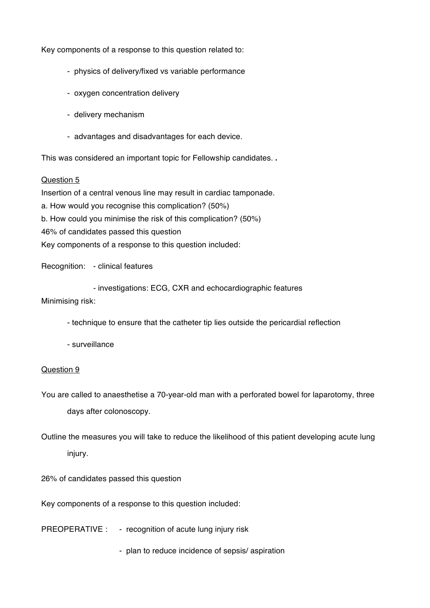Key components of a response to this question related to:

- physics of delivery/fixed vs variable performance
- oxygen concentration delivery
- delivery mechanism
- advantages and disadvantages for each device.

This was considered an important topic for Fellowship candidates. **.**

#### Question 5

Insertion of a central venous line may result in cardiac tamponade.

a. How would you recognise this complication? (50%)

b. How could you minimise the risk of this complication? (50%)

46% of candidates passed this question

Key components of a response to this question included:

Recognition: - clinical features

- investigations: ECG, CXR and echocardiographic features

Minimising risk:

- technique to ensure that the catheter tip lies outside the pericardial reflection
- surveillance

#### Question 9

You are called to anaesthetise a 70-year-old man with a perforated bowel for laparotomy, three days after colonoscopy.

Outline the measures you will take to reduce the likelihood of this patient developing acute lung injury.

26% of candidates passed this question

Key components of a response to this question included:

PREOPERATIVE : - recognition of acute lung injury risk

- plan to reduce incidence of sepsis/ aspiration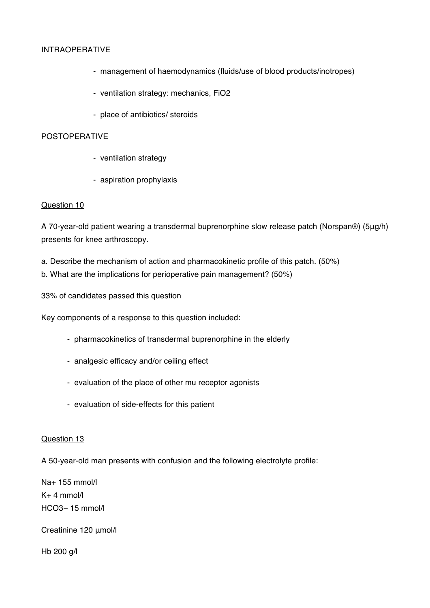# INTRAOPERATIVE

- management of haemodynamics (fluids/use of blood products/inotropes)
- ventilation strategy: mechanics, FiO2
- place of antibiotics/ steroids

#### POSTOPERATIVE

- ventilation strategy
- aspiration prophylaxis

#### Question 10

A 70-year-old patient wearing a transdermal buprenorphine slow release patch (Norspan®) (5μg/h) presents for knee arthroscopy.

- a. Describe the mechanism of action and pharmacokinetic profile of this patch. (50%)
- b. What are the implications for perioperative pain management? (50%)

33% of candidates passed this question

Key components of a response to this question included:

- pharmacokinetics of transdermal buprenorphine in the elderly
- analgesic efficacy and/or ceiling effect
- evaluation of the place of other mu receptor agonists
- evaluation of side-effects for this patient

#### Question 13

A 50-year-old man presents with confusion and the following electrolyte profile:

Na+ 155 mmol/l K+ 4 mmol/l HCO3− 15 mmol/l

Creatinine 120 μmol/l

Hb 200 g/l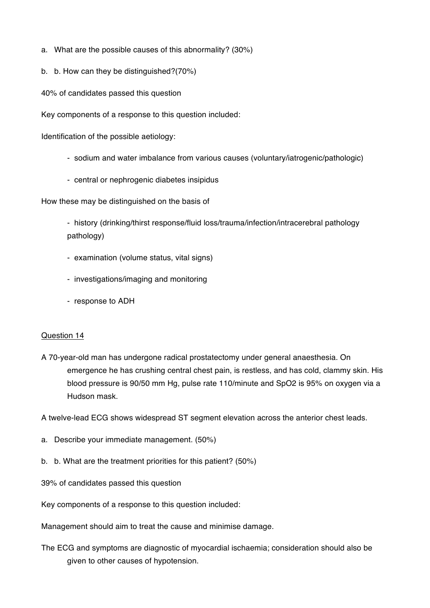- a. What are the possible causes of this abnormality? (30%)
- b. b. How can they be distinguished?(70%)
- 40% of candidates passed this question

Key components of a response to this question included:

Identification of the possible aetiology:

- sodium and water imbalance from various causes (voluntary/iatrogenic/pathologic)
- central or nephrogenic diabetes insipidus

How these may be distinguished on the basis of

- history (drinking/thirst response/fluid loss/trauma/infection/intracerebral pathology pathology)

- examination (volume status, vital signs)
- investigations/imaging and monitoring
- response to ADH

#### Question 14

A 70-year-old man has undergone radical prostatectomy under general anaesthesia. On emergence he has crushing central chest pain, is restless, and has cold, clammy skin. His blood pressure is 90/50 mm Hg, pulse rate 110/minute and SpO2 is 95% on oxygen via a Hudson mask.

A twelve-lead ECG shows widespread ST segment elevation across the anterior chest leads.

- a. Describe your immediate management. (50%)
- b. b. What are the treatment priorities for this patient? (50%)

39% of candidates passed this question

Key components of a response to this question included:

Management should aim to treat the cause and minimise damage.

The ECG and symptoms are diagnostic of myocardial ischaemia; consideration should also be given to other causes of hypotension.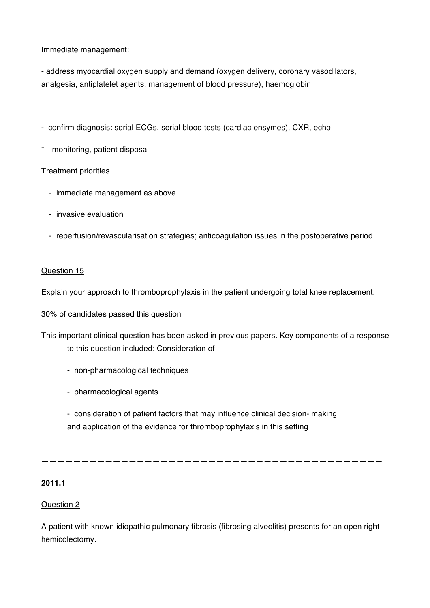Immediate management:

- address myocardial oxygen supply and demand (oxygen delivery, coronary vasodilators, analgesia, antiplatelet agents, management of blood pressure), haemoglobin

- confirm diagnosis: serial ECGs, serial blood tests (cardiac ensymes), CXR, echo
- monitoring, patient disposal

# Treatment priorities

- immediate management as above
- invasive evaluation
- reperfusion/revascularisation strategies; anticoagulation issues in the postoperative period

# Question 15

Explain your approach to thromboprophylaxis in the patient undergoing total knee replacement.

30% of candidates passed this question

- This important clinical question has been asked in previous papers. Key components of a response to this question included: Consideration of
	- non-pharmacological techniques
	- pharmacological agents
	- consideration of patient factors that may influence clinical decision- making and application of the evidence for thromboprophylaxis in this setting

**———————————————————————————————————————————**

# **2011.1**

# Question 2

A patient with known idiopathic pulmonary fibrosis (fibrosing alveolitis) presents for an open right hemicolectomy.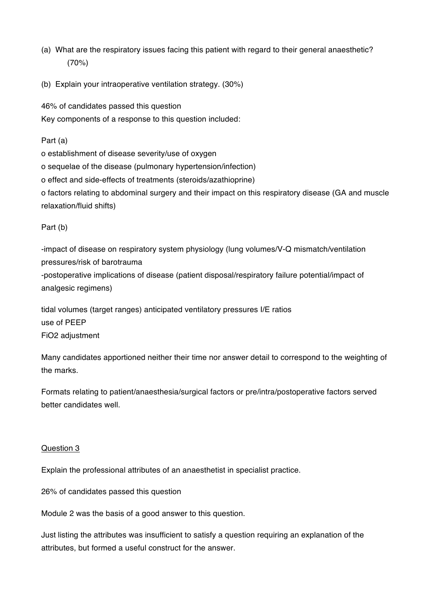- (a) What are the respiratory issues facing this patient with regard to their general anaesthetic? (70%)
- (b) Explain your intraoperative ventilation strategy. (30%)

46% of candidates passed this question Key components of a response to this question included:

Part (a)

o establishment of disease severity/use of oxygen

o sequelae of the disease (pulmonary hypertension/infection)

o effect and side-effects of treatments (steroids/azathioprine)

o factors relating to abdominal surgery and their impact on this respiratory disease (GA and muscle relaxation/fluid shifts)

Part (b)

-impact of disease on respiratory system physiology (lung volumes/V-Q mismatch/ventilation pressures/risk of barotrauma -postoperative implications of disease (patient disposal/respiratory failure potential/impact of analgesic regimens)

tidal volumes (target ranges) anticipated ventilatory pressures I/E ratios use of PEEP FiO2 adjustment

Many candidates apportioned neither their time nor answer detail to correspond to the weighting of the marks.

Formats relating to patient/anaesthesia/surgical factors or pre/intra/postoperative factors served better candidates well.

# Question 3

Explain the professional attributes of an anaesthetist in specialist practice.

26% of candidates passed this question

Module 2 was the basis of a good answer to this question.

Just listing the attributes was insufficient to satisfy a question requiring an explanation of the attributes, but formed a useful construct for the answer.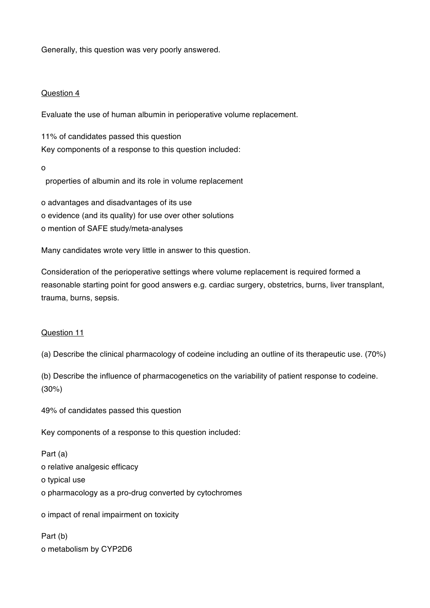Generally, this question was very poorly answered.

# Question 4

Evaluate the use of human albumin in perioperative volume replacement.

11% of candidates passed this question Key components of a response to this question included:

o

properties of albumin and its role in volume replacement

o advantages and disadvantages of its use o evidence (and its quality) for use over other solutions o mention of SAFE study/meta-analyses

Many candidates wrote very little in answer to this question.

Consideration of the perioperative settings where volume replacement is required formed a reasonable starting point for good answers e.g. cardiac surgery, obstetrics, burns, liver transplant, trauma, burns, sepsis.

# Question 11

(a) Describe the clinical pharmacology of codeine including an outline of its therapeutic use. (70%)

(b) Describe the influence of pharmacogenetics on the variability of patient response to codeine. (30%)

49% of candidates passed this question

Key components of a response to this question included:

Part (a) o relative analgesic efficacy o typical use o pharmacology as a pro-drug converted by cytochromes

o impact of renal impairment on toxicity

Part (b) o metabolism by CYP2D6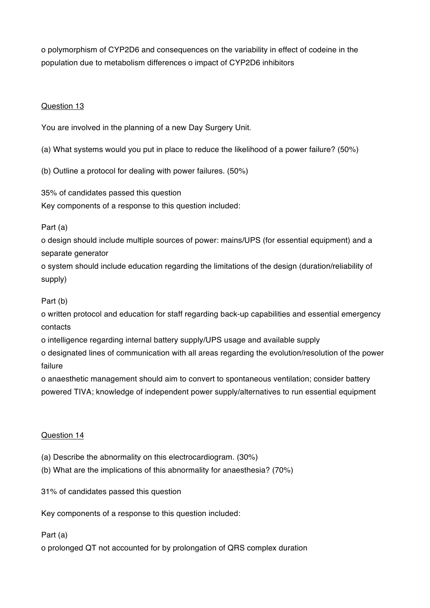o polymorphism of CYP2D6 and consequences on the variability in effect of codeine in the population due to metabolism differences o impact of CYP2D6 inhibitors

# Question 13

You are involved in the planning of a new Day Surgery Unit.

(a) What systems would you put in place to reduce the likelihood of a power failure? (50%)

(b) Outline a protocol for dealing with power failures. (50%)

35% of candidates passed this question

Key components of a response to this question included:

Part (a)

o design should include multiple sources of power: mains/UPS (for essential equipment) and a separate generator

o system should include education regarding the limitations of the design (duration/reliability of supply)

# Part (b)

o written protocol and education for staff regarding back-up capabilities and essential emergency contacts

o intelligence regarding internal battery supply/UPS usage and available supply

o designated lines of communication with all areas regarding the evolution/resolution of the power failure

o anaesthetic management should aim to convert to spontaneous ventilation; consider battery powered TIVA; knowledge of independent power supply/alternatives to run essential equipment

# Question 14

- (a) Describe the abnormality on this electrocardiogram. (30%)
- (b) What are the implications of this abnormality for anaesthesia? (70%)

31% of candidates passed this question

Key components of a response to this question included:

Part (a)

o prolonged QT not accounted for by prolongation of QRS complex duration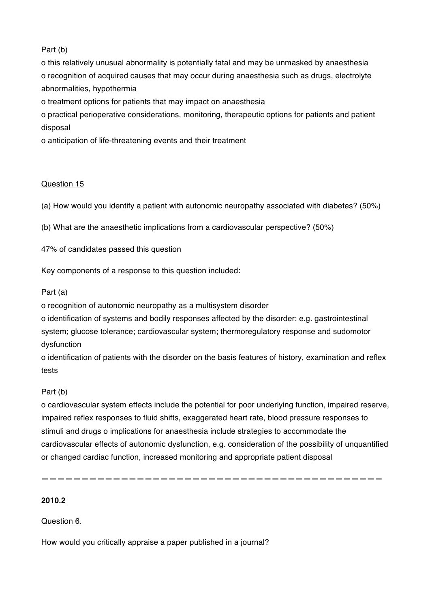# Part (b)

o this relatively unusual abnormality is potentially fatal and may be unmasked by anaesthesia o recognition of acquired causes that may occur during anaesthesia such as drugs, electrolyte abnormalities, hypothermia

o treatment options for patients that may impact on anaesthesia

o practical perioperative considerations, monitoring, therapeutic options for patients and patient disposal

o anticipation of life-threatening events and their treatment

# Question 15

(a) How would you identify a patient with autonomic neuropathy associated with diabetes? (50%)

(b) What are the anaesthetic implications from a cardiovascular perspective? (50%)

47% of candidates passed this question

Key components of a response to this question included:

# Part (a)

o recognition of autonomic neuropathy as a multisystem disorder

o identification of systems and bodily responses affected by the disorder: e.g. gastrointestinal system; glucose tolerance; cardiovascular system; thermoregulatory response and sudomotor dysfunction

o identification of patients with the disorder on the basis features of history, examination and reflex tests

# Part (b)

o cardiovascular system effects include the potential for poor underlying function, impaired reserve, impaired reflex responses to fluid shifts, exaggerated heart rate, blood pressure responses to stimuli and drugs o implications for anaesthesia include strategies to accommodate the cardiovascular effects of autonomic dysfunction, e.g. consideration of the possibility of unquantified or changed cardiac function, increased monitoring and appropriate patient disposal

**———————————————————————————————————————————**

**2010.2**

Question 6.

How would you critically appraise a paper published in a journal?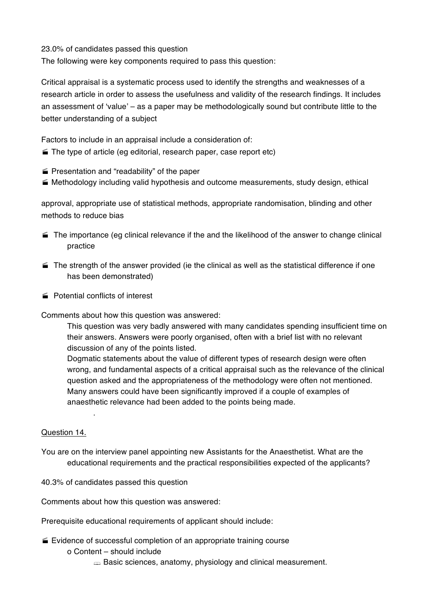23.0% of candidates passed this question

The following were key components required to pass this question:

Critical appraisal is a systematic process used to identify the strengths and weaknesses of a research article in order to assess the usefulness and validity of the research findings. It includes an assessment of 'value' – as a paper may be methodologically sound but contribute little to the better understanding of a subject

Factors to include in an appraisal include a consideration of:

- $\blacktriangleright$  The type of article (eg editorial, research paper, case report etc)
- $\blacktriangleright$  Presentation and "readability" of the paper
- · Methodology including valid hypothesis and outcome measurements, study design, ethical

approval, appropriate use of statistical methods, appropriate randomisation, blinding and other methods to reduce bias

- $\blacktriangleright$  The importance (eg clinical relevance if the and the likelihood of the answer to change clinical practice
- $\blacksquare$  The strength of the answer provided (ie the clinical as well as the statistical difference if one has been demonstrated)
- Potential conflicts of interest

.

Comments about how this question was answered:

This question was very badly answered with many candidates spending insufficient time on their answers. Answers were poorly organised, often with a brief list with no relevant discussion of any of the points listed.

Dogmatic statements about the value of different types of research design were often wrong, and fundamental aspects of a critical appraisal such as the relevance of the clinical question asked and the appropriateness of the methodology were often not mentioned. Many answers could have been significantly improved if a couple of examples of anaesthetic relevance had been added to the points being made.

# Question 14.

- You are on the interview panel appointing new Assistants for the Anaesthetist. What are the educational requirements and the practical responsibilities expected of the applicants?
- 40.3% of candidates passed this question

Comments about how this question was answered:

Prerequisite educational requirements of applicant should include:

- $\leq$  Evidence of successful completion of an appropriate training course
	- o Content should include
		- $\Rightarrow$  Basic sciences, anatomy, physiology and clinical measurement.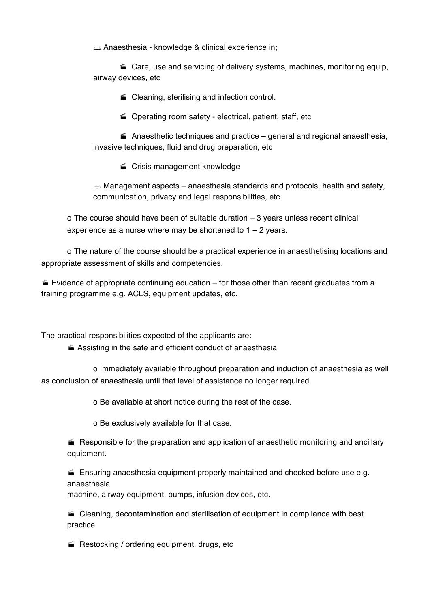§ Anaesthesia - knowledge & clinical experience in;

 $\blacktriangle$  Care, use and servicing of delivery systems, machines, monitoring equip, airway devices, etc

■ Cleaning, sterilising and infection control.

■ Operating room safety - electrical, patient, staff, etc

 $\blacktriangle$  Anaesthetic techniques and practice – general and regional anaesthesia, invasive techniques, fluid and drug preparation, etc

**Crisis management knowledge** 

 $\Rightarrow$  Management aspects – anaesthesia standards and protocols, health and safety, communication, privacy and legal responsibilities, etc

o The course should have been of suitable duration – 3 years unless recent clinical experience as a nurse where may be shortened to  $1 - 2$  years.

o The nature of the course should be a practical experience in anaesthetising locations and appropriate assessment of skills and competencies.

 $\leq$  Evidence of appropriate continuing education – for those other than recent graduates from a training programme e.g. ACLS, equipment updates, etc.

The practical responsibilities expected of the applicants are:

 $\blacktriangleright$  Assisting in the safe and efficient conduct of anaesthesia

o Immediately available throughout preparation and induction of anaesthesia as well as conclusion of anaesthesia until that level of assistance no longer required.

o Be available at short notice during the rest of the case.

o Be exclusively available for that case.

 $\blacktriangleright$  Responsible for the preparation and application of anaesthetic monitoring and ancillary equipment.

 $\blacktriangleright$  Ensuring anaesthesia equipment properly maintained and checked before use e.g. anaesthesia

machine, airway equipment, pumps, infusion devices, etc.

 $\blacktriangle$  Cleaning, decontamination and sterilisation of equipment in compliance with best practice.

 $\blacktriangleright$  Restocking / ordering equipment, drugs, etc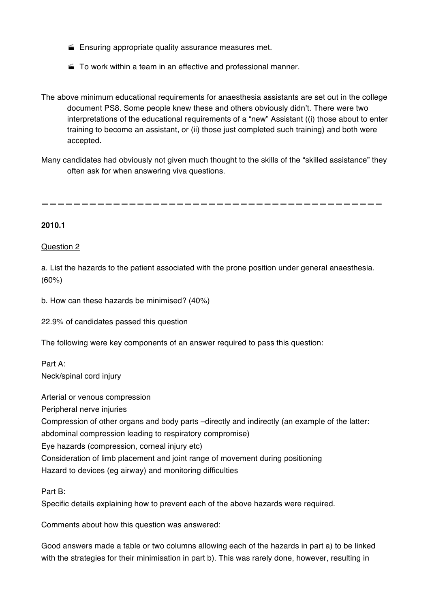- $\blacktriangleright$  Ensuring appropriate quality assurance measures met.
- $\blacktriangleright$  To work within a team in an effective and professional manner.
- The above minimum educational requirements for anaesthesia assistants are set out in the college document PS8. Some people knew these and others obviously didn't. There were two interpretations of the educational requirements of a "new" Assistant ((i) those about to enter training to become an assistant, or (ii) those just completed such training) and both were accepted.
- Many candidates had obviously not given much thought to the skills of the "skilled assistance" they often ask for when answering viva questions.

**———————————————————————————————————————————**

#### **2010.1**

#### Question 2

a. List the hazards to the patient associated with the prone position under general anaesthesia. (60%)

b. How can these hazards be minimised? (40%)

22.9% of candidates passed this question

The following were key components of an answer required to pass this question:

Part A: Neck/spinal cord injury

Arterial or venous compression

Peripheral nerve injuries

Compression of other organs and body parts –directly and indirectly (an example of the latter:

abdominal compression leading to respiratory compromise)

Eye hazards (compression, corneal injury etc)

Consideration of limb placement and joint range of movement during positioning

Hazard to devices (eg airway) and monitoring difficulties

Part B:

Specific details explaining how to prevent each of the above hazards were required.

Comments about how this question was answered:

Good answers made a table or two columns allowing each of the hazards in part a) to be linked with the strategies for their minimisation in part b). This was rarely done, however, resulting in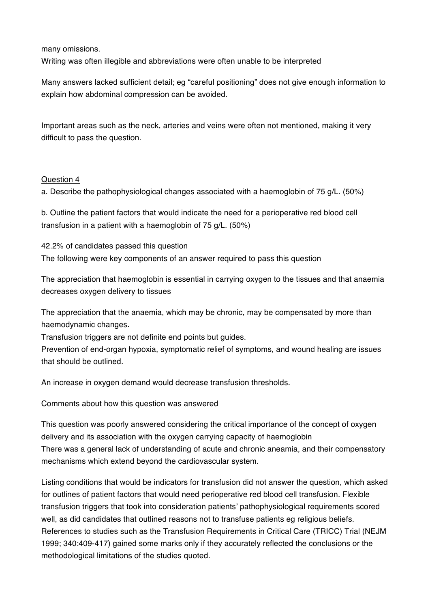many omissions.

Writing was often illegible and abbreviations were often unable to be interpreted

Many answers lacked sufficient detail; eg "careful positioning" does not give enough information to explain how abdominal compression can be avoided.

Important areas such as the neck, arteries and veins were often not mentioned, making it very difficult to pass the question.

# Question 4

a. Describe the pathophysiological changes associated with a haemoglobin of 75 g/L. (50%)

b. Outline the patient factors that would indicate the need for a perioperative red blood cell transfusion in a patient with a haemoglobin of 75 g/L. (50%)

42.2% of candidates passed this question The following were key components of an answer required to pass this question

The appreciation that haemoglobin is essential in carrying oxygen to the tissues and that anaemia decreases oxygen delivery to tissues

The appreciation that the anaemia, which may be chronic, may be compensated by more than haemodynamic changes.

Transfusion triggers are not definite end points but guides.

Prevention of end-organ hypoxia, symptomatic relief of symptoms, and wound healing are issues that should be outlined.

An increase in oxygen demand would decrease transfusion thresholds.

Comments about how this question was answered

This question was poorly answered considering the critical importance of the concept of oxygen delivery and its association with the oxygen carrying capacity of haemoglobin There was a general lack of understanding of acute and chronic aneamia, and their compensatory mechanisms which extend beyond the cardiovascular system.

Listing conditions that would be indicators for transfusion did not answer the question, which asked for outlines of patient factors that would need perioperative red blood cell transfusion. Flexible transfusion triggers that took into consideration patients' pathophysiological requirements scored well, as did candidates that outlined reasons not to transfuse patients eg religious beliefs. References to studies such as the Transfusion Requirements in Critical Care (TRICC) Trial (NEJM 1999; 340:409-417) gained some marks only if they accurately reflected the conclusions or the methodological limitations of the studies quoted.